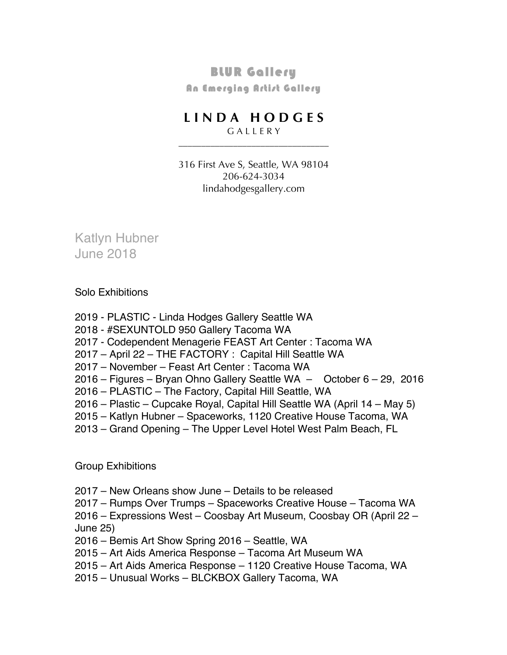## BLUR Gallery

**An Emerging Artist Gallery** 

## **L I N D A H O D G E S**

G A L L E R Y \_\_\_\_\_\_\_\_\_\_\_\_\_\_\_\_\_\_\_\_\_\_\_\_\_\_\_\_\_\_\_\_\_

316 First Ave S, Seattle, WA 98104 206-624-3034 lindahodgesgallery.com

Katlyn Hubner June 2018

Solo Exhibitions

- 2019 PLASTIC Linda Hodges Gallery Seattle WA
- 2018 #SEXUNTOLD 950 Gallery Tacoma WA
- 2017 Codependent Menagerie FEAST Art Center : Tacoma WA
- 2017 April 22 THE FACTORY : Capital Hill Seattle WA
- 2017 November Feast Art Center : Tacoma WA
- 2016 Figures Bryan Ohno Gallery Seattle WA October 6 29, 2016
- 2016 PLASTIC The Factory, Capital Hill Seattle, WA
- 2016 Plastic Cupcake Royal, Capital Hill Seattle WA (April 14 May 5)
- 2015 Katlyn Hubner Spaceworks, 1120 Creative House Tacoma, WA
- 2013 Grand Opening The Upper Level Hotel West Palm Beach, FL

Group Exhibitions

- 2017 New Orleans show June Details to be released
- 2017 Rumps Over Trumps Spaceworks Creative House Tacoma WA

2016 – Expressions West – Coosbay Art Museum, Coosbay OR (April 22 – June 25)

- 2016 Bemis Art Show Spring 2016 Seattle, WA
- 2015 Art Aids America Response Tacoma Art Museum WA
- 2015 Art Aids America Response 1120 Creative House Tacoma, WA
- 2015 Unusual Works BLCKBOX Gallery Tacoma, WA